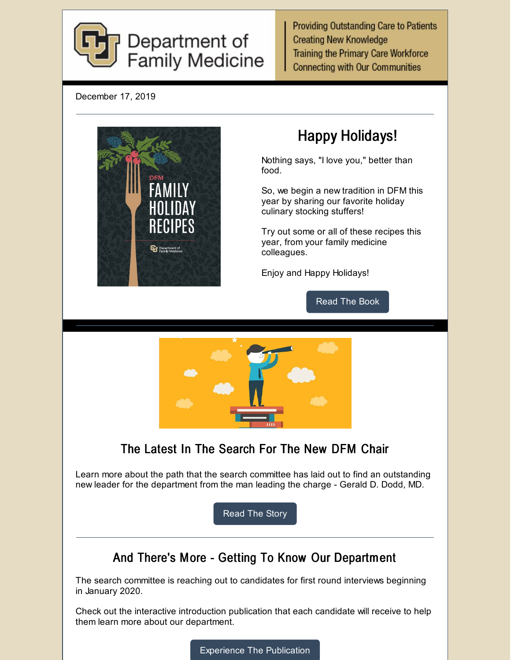

**Providing Outstanding Care to Patients Creating New Knowledge Training the Primary Care Workforce Connecting with Our Communities** 

December 17, 2019



# Happy Holidays!

Nothing says, "I love you," better than food.

So, we begin a new tradition in DFM this year by sharing our favorite holiday culinary stocking stuffers!

Try out some or all of these recipes this year, from your family medicine colleagues.

Enjoy and Happy Holidays!

[Read](https://issuu.com/ucdenver10/docs/recipe_book_2019?fr=sNTI0MTE4MjUy) The Book



### The Latest In The Search For The New DFM Chair

Learn more about the path that the search committee has laid out to find an outstanding new leader for the department from the man leading the charge - Gerald D. Dodd, MD.

[Read](https://medschool.cuanschutz.edu/family-medicine/about/news/communication-hub/the-search-is-on-for-the-next-chair) The Story

### And There's More - Getting To Know Our Department

The search committee is reaching out to candidates for first round interviews beginning in January 2020.

Check out the interactive introduction publication that each candidate will receive to help them learn more about our department.

[Experience](https://issuu.com/ucdenver10/docs/cu_7-year_self_study_12-2019?fr=sOGFlNjE4MjUy) The Publication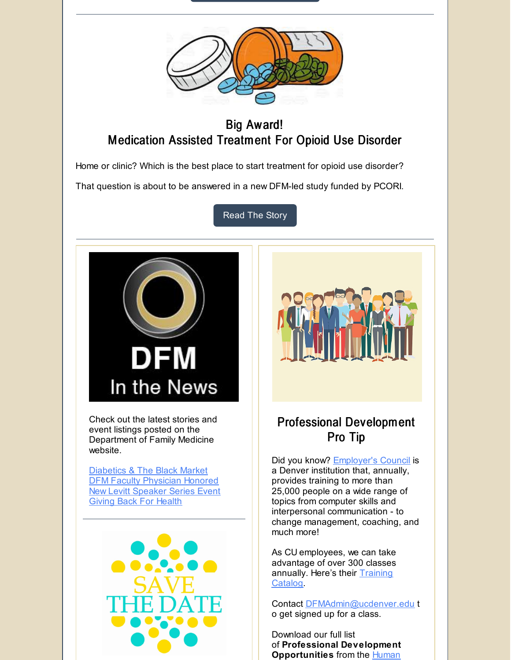



#### Big Award! Medication Assisted Treatment For Opioid Use Disorder

Home or clinic? Which is the best place to start treatment for opioid use disorder?

That question is about to be answered in a new DFM-led study funded by PCORI.

[Read](https://medschool.cuanschutz.edu/family-medicine/about/news/communication-hub/home-or-clinic-what-works-best-in-medication-assisted-treatment-for-opioid-use-disorder) The Story



Check out the latest stories and event listings posted on the Department of Family Medicine website.

[Diabetics](https://medschool.cuanschutz.edu/family-medicine/about/news/communication-hub/diabetics-hit-the-black-market-for-life-saving-treatment) & The Black Market DFM Faculty [Physician](https://medschool.cuanschutz.edu/family-medicine/about/news/communication-hub/annual-medical-staff-awards-announced) Honored New Levitt [Speaker](https://medschool.cuanschutz.edu/family-medicine/about/levitt-distinguished-speaker-series/levitt-events) Series Event Giving Back For [Health](https://medschool.cuanschutz.edu/family-medicine/about/news/communication-hub/giving-back-for-health)





### Professional Development Pro Tip

Did you know? **[Employer's](https://www.employerscouncil.org/) Council is** a Denver institution that, annually, provides training to more than 25,000 people on a wide range of topics from computer skills and interpersonal communication - to change management, coaching, and much more!

As CU employees, we can take advantage of over 300 classes [annually.](https://www.employerscouncil.org/training-catalog) Here's their **Training** Catalog.

Contact [DFMAdmin@ucdenver.edu](mailto:DFMAdmin@ucdenver.edu) t o get signed up for a class.

Download our full list of **Professional Development Opportunities** from the **Human**